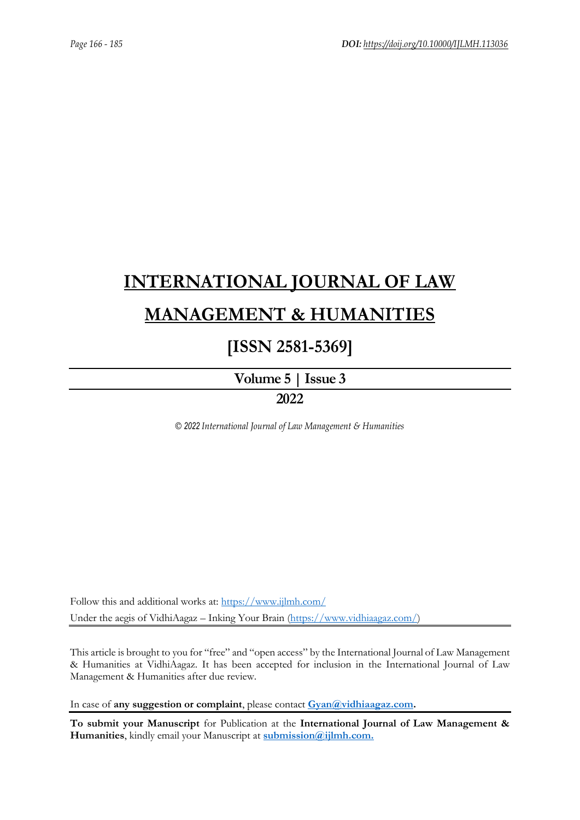# **[INTERNATIONAL JOURNAL OF LAW](https://www.ijlmh.com/)  [MANAGEMENT & HUMANITIES](https://www.ijlmh.com/)**

# **[ISSN 2581-5369]**

**[Volume 5](https://www.ijlmh.com/publications/volume-v-issue-iii/) | Issue 3 2022**

*© 2022 International Journal of Law Management & Humanities*

Follow this and additional works at:<https://www.ijlmh.com/> Under the aegis of VidhiAagaz – Inking Your Brain [\(https://www.vidhiaagaz.com/\)](https://www.vidhiaagaz.com/)

This article is brought to you for "free" and "open access" by the International Journal of Law Management & Humanities at VidhiAagaz. It has been accepted for inclusion in the International Journal of Law Management & Humanities after due review.

In case of **any suggestion or complaint**, please contact **[Gyan@vidhiaagaz.com.](mailto:Gyan@vidhiaagaz.com)** 

**To submit your Manuscript** for Publication at the **International Journal of Law Management & Humanities**, kindly email your Manuscript at **[submission@ijlmh.com.](mailto:submission@ijlmh.com)**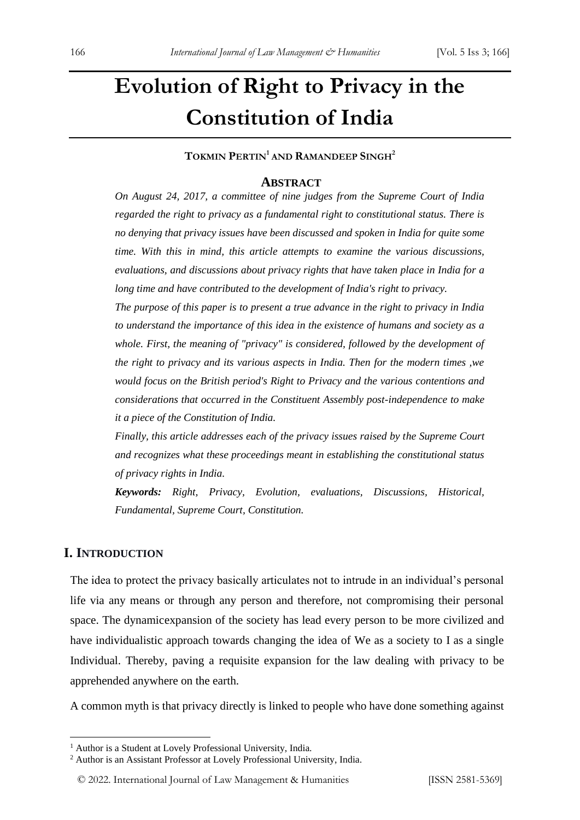# **Evolution of Right to Privacy in the Constitution of India**

#### **TOKMIN PERTIN<sup>1</sup> AND RAMANDEEP SINGH<sup>2</sup>**

#### **ABSTRACT**

*On August 24, 2017, a committee of nine judges from the Supreme Court of India regarded the right to privacy as a fundamental right to constitutional status. There is no denying that privacy issues have been discussed and spoken in India for quite some time. With this in mind, this article attempts to examine the various discussions, evaluations, and discussions about privacy rights that have taken place in India for a long time and have contributed to the development of India's right to privacy.*

*The purpose of this paper is to present a true advance in the right to privacy in India to understand the importance of this idea in the existence of humans and society as a whole. First, the meaning of "privacy" is considered, followed by the development of the right to privacy and its various aspects in India. Then for the modern times ,we would focus on the British period's Right to Privacy and the various contentions and considerations that occurred in the Constituent Assembly post-independence to make it a piece of the Constitution of India.*

*Finally, this article addresses each of the privacy issues raised by the Supreme Court and recognizes what these proceedings meant in establishing the constitutional status of privacy rights in India.*

*Keywords: Right, Privacy, Evolution, evaluations, Discussions, Historical, Fundamental, Supreme Court, Constitution.*

### **I. INTRODUCTION**

The idea to protect the privacy basically articulates not to intrude in an individual's personal life via any means or through any person and therefore, not compromising their personal space. The dynamicexpansion of the society has lead every person to be more civilized and have individualistic approach towards changing the idea of We as a society to I as a single Individual. Thereby, paving a requisite expansion for the law dealing with privacy to be apprehended anywhere on the earth.

A common myth is that privacy directly is linked to people who have done something against

<sup>&</sup>lt;sup>1</sup> Author is a Student at Lovely Professional University, India.

<sup>2</sup> Author is an Assistant Professor at Lovely Professional University, India.

<sup>© 2022.</sup> International Journal of [Law Management & Humanities](https://www.ijlmh.com/) [ISSN 2581-5369]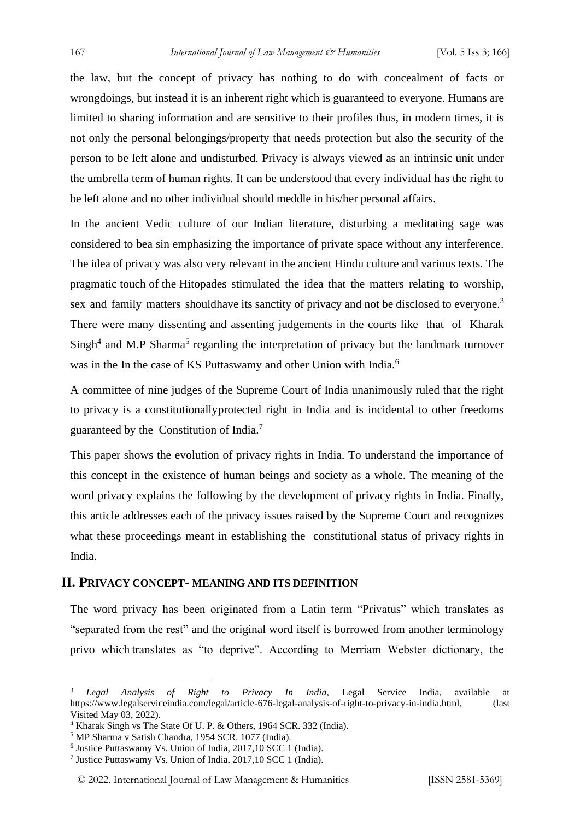the law, but the concept of privacy has nothing to do with concealment of facts or wrongdoings, but instead it is an inherent right which is guaranteed to everyone. Humans are limited to sharing information and are sensitive to their profiles thus, in modern times, it is not only the personal belongings/property that needs protection but also the security of the person to be left alone and undisturbed. Privacy is always viewed as an intrinsic unit under the umbrella term of human rights. It can be understood that every individual has the right to be left alone and no other individual should meddle in his/her personal affairs.

In the ancient Vedic culture of our Indian literature, disturbing a meditating sage was considered to bea sin emphasizing the importance of private space without any interference. The idea of privacy was also very relevant in the ancient Hindu culture and various texts. The pragmatic touch of the Hitopades stimulated the idea that the matters relating to worship, sex and family matters shouldhave its sanctity of privacy and not be disclosed to everyone.<sup>3</sup> There were many dissenting and assenting judgements in the courts like that of Kharak Singh<sup>4</sup> and M.P Sharma<sup>5</sup> regarding the interpretation of privacy but the landmark turnover was in the In the case of KS Puttaswamy and other Union with India.<sup>6</sup>

A committee of nine judges of the Supreme Court of India unanimously ruled that the right to privacy is a constitutionallyprotected right in India and is incidental to other freedoms guaranteed by the Constitution of India.<sup>7</sup>

This paper shows the evolution of privacy rights in India. To understand the importance of this concept in the existence of human beings and society as a whole. The meaning of the word privacy explains the following by the development of privacy rights in India. Finally, this article addresses each of the privacy issues raised by the Supreme Court and recognizes what these proceedings meant in establishing the constitutional status of privacy rights in India.

#### **II. PRIVACY CONCEPT- MEANING AND ITS DEFINITION**

The word privacy has been originated from a Latin term "Privatus" which translates as "separated from the rest" and the original word itself is borrowed from another terminology privo which translates as "to deprive". According to Merriam Webster dictionary, the

<sup>3</sup> *Legal Analysis of Right to Privacy In India,* Legal Service India, available at https://www.legalserviceindia.com/legal/article-676-legal-analysis-of-right-to-privacy-in-india.html, (last Visited May 03, 2022).

<sup>4</sup> Kharak Singh vs The State Of U. P. & Others, 1964 SCR. 332 (India).

<sup>5</sup> MP Sharma v Satish Chandra, 1954 SCR. 1077 (India).

<sup>6</sup> Justice Puttaswamy Vs. Union of India, 2017,10 SCC 1 (India).

<sup>7</sup> Justice Puttaswamy Vs. Union of India, 2017,10 SCC 1 (India).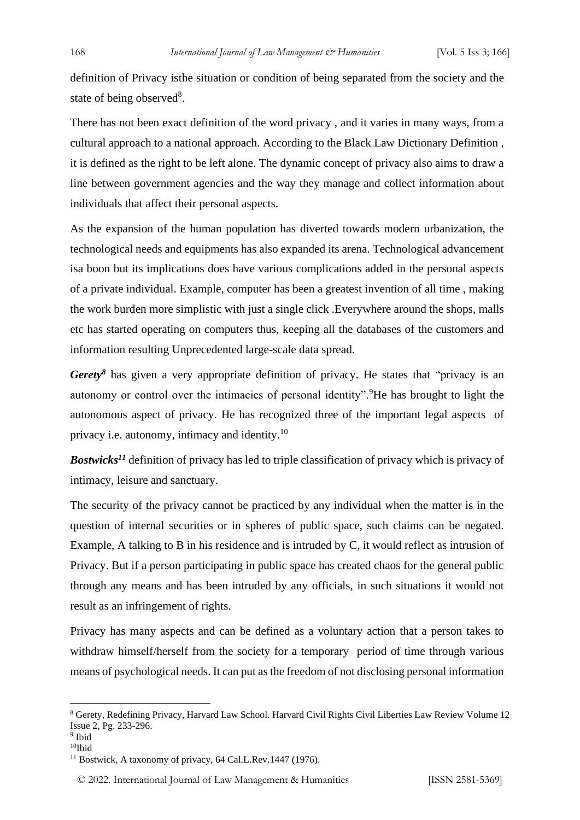definition of Privacy isthe situation or condition of being separated from the society and the state of being observed<sup>8</sup>.

There has not been exact definition of the word privacy , and it varies in many ways, from a cultural approach to a national approach. According to the Black Law Dictionary Definition , it is defined as the right to be left alone. The dynamic concept of privacy also aims to draw a line between government agencies and the way they manage and collect information about individuals that affect their personal aspects.

As the expansion of the human population has diverted towards modern urbanization, the technological needs and equipments has also expanded its arena. Technological advancement isa boon but its implications does have various complications added in the personal aspects of a private individual. Example, computer has been a greatest invention of all time , making the work burden more simplistic with just a single click .Everywhere around the shops, malls etc has started operating on computers thus, keeping all the databases of the customers and information resulting Unprecedented large-scale data spread.

Gerety<sup>8</sup> has given a very appropriate definition of privacy. He states that "privacy is an autonomy or control over the intimacies of personal identity".<sup>9</sup>He has brought to light the autonomous aspect of privacy. He has recognized three of the important legal aspects of privacy i.e. autonomy, intimacy and identity.<sup>10</sup>

*Bostwicks<sup>11</sup>* definition of privacy has led to triple classification of privacy which is privacy of intimacy, leisure and sanctuary.

The security of the privacy cannot be practiced by any individual when the matter is in the question of internal securities or in spheres of public space, such claims can be negated. Example, A talking to B in his residence and is intruded by C, it would reflect as intrusion of Privacy. But if a person participating in public space has created chaos for the general public through any means and has been intruded by any officials, in such situations it would not result as an infringement of rights.

Privacy has many aspects and can be defined as a voluntary action that a person takes to withdraw himself/herself from the society for a temporary period of time through various means of psychological needs. It can put as the freedom of not disclosing personal information

<sup>8</sup> Gerety, Redefining Privacy, Harvard Law School. Harvard Civil Rights Civil Liberties Law Review Volume 12 Issue 2, Pg. 233-296.

<sup>&</sup>lt;sup>9</sup> Ibid

 $10$ Ibid

<sup>&</sup>lt;sup>11</sup> Bostwick, A taxonomy of privacy, 64 Cal.L.Rev.1447 (1976).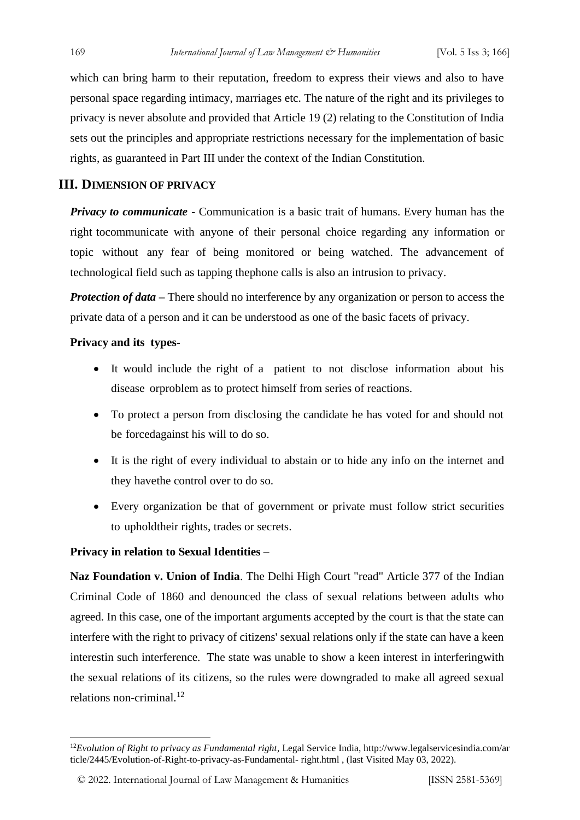which can bring harm to their reputation, freedom to express their views and also to have personal space regarding intimacy, marriages etc. The nature of the right and its privileges to privacy is never absolute and provided that Article 19 (2) relating to the Constitution of India sets out the principles and appropriate restrictions necessary for the implementation of basic rights, as guaranteed in Part III under the context of the Indian Constitution.

#### **III. DIMENSION OF PRIVACY**

*Privacy to communicate -* Communication is a basic trait of humans. Every human has the right tocommunicate with anyone of their personal choice regarding any information or topic without any fear of being monitored or being watched. The advancement of technological field such as tapping thephone calls is also an intrusion to privacy.

*Protection of data* – There should no interference by any organization or person to access the private data of a person and it can be understood as one of the basic facets of privacy.

#### **Privacy and its types-**

- It would include the right of a patient to not disclose information about his disease orproblem as to protect himself from series of reactions.
- To protect a person from disclosing the candidate he has voted for and should not be forcedagainst his will to do so.
- It is the right of every individual to abstain or to hide any info on the internet and they havethe control over to do so.
- Every organization be that of government or private must follow strict securities to upholdtheir rights, trades or secrets.

#### **Privacy in relation to Sexual Identities –**

**Naz Foundation v. Union of India**. The Delhi High Court "read" Article 377 of the Indian Criminal Code of 1860 and denounced the class of sexual relations between adults who agreed. In this case, one of the important arguments accepted by the court is that the state can interfere with the right to privacy of citizens' sexual relations only if the state can have a keen interestin such interference. The state was unable to show a keen interest in interferingwith the sexual relations of its citizens, so the rules were downgraded to make all agreed sexual relations non-criminal.<sup>12</sup>

<sup>12</sup>*Evolution of Right to privacy as Fundamental right*, Legal Service India, http://www.legalservicesindia.com/ar ticle/2445/Evolution-of-Right-to-privacy-as-Fundamental- right.html , (last Visited May 03, 2022).

<sup>© 2022.</sup> International Journal of [Law Management & Humanities](https://www.ijlmh.com/) [ISSN 2581-5369]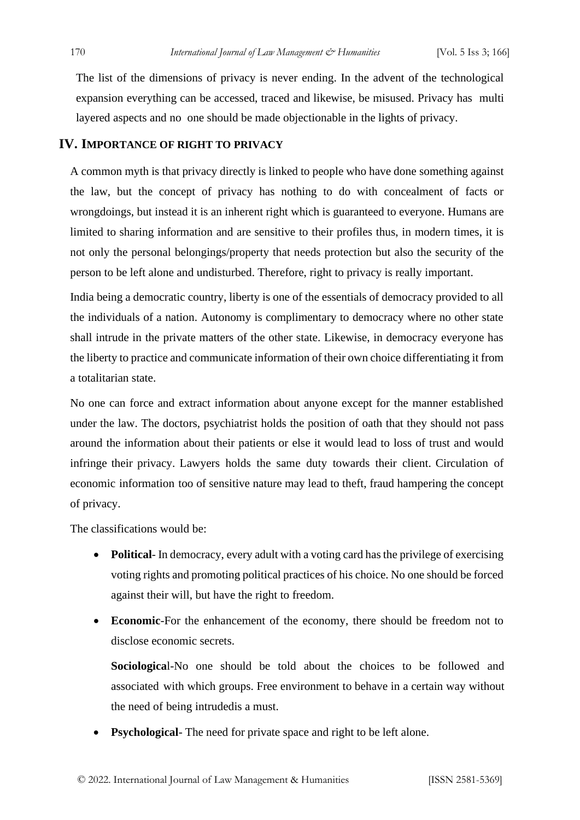The list of the dimensions of privacy is never ending. In the advent of the technological expansion everything can be accessed, traced and likewise, be misused. Privacy has multi layered aspects and no one should be made objectionable in the lights of privacy.

#### **IV. IMPORTANCE OF RIGHT TO PRIVACY**

A common myth is that privacy directly is linked to people who have done something against the law, but the concept of privacy has nothing to do with concealment of facts or wrongdoings, but instead it is an inherent right which is guaranteed to everyone. Humans are limited to sharing information and are sensitive to their profiles thus, in modern times, it is not only the personal belongings/property that needs protection but also the security of the person to be left alone and undisturbed. Therefore, right to privacy is really important.

India being a democratic country, liberty is one of the essentials of democracy provided to all the individuals of a nation. Autonomy is complimentary to democracy where no other state shall intrude in the private matters of the other state. Likewise, in democracy everyone has the liberty to practice and communicate information of their own choice differentiating it from a totalitarian state.

No one can force and extract information about anyone except for the manner established under the law. The doctors, psychiatrist holds the position of oath that they should not pass around the information about their patients or else it would lead to loss of trust and would infringe their privacy. Lawyers holds the same duty towards their client. Circulation of economic information too of sensitive nature may lead to theft, fraud hampering the concept of privacy.

The classifications would be:

- **Political** In democracy, every adult with a voting card has the privilege of exercising voting rights and promoting political practices of his choice. No one should be forced against their will, but have the right to freedom.
- **Economic**-For the enhancement of the economy, there should be freedom not to disclose economic secrets.

**Sociologica**l-No one should be told about the choices to be followed and associated with which groups. Free environment to behave in a certain way without the need of being intrudedis a must.

• **Psychological**- The need for private space and right to be left alone.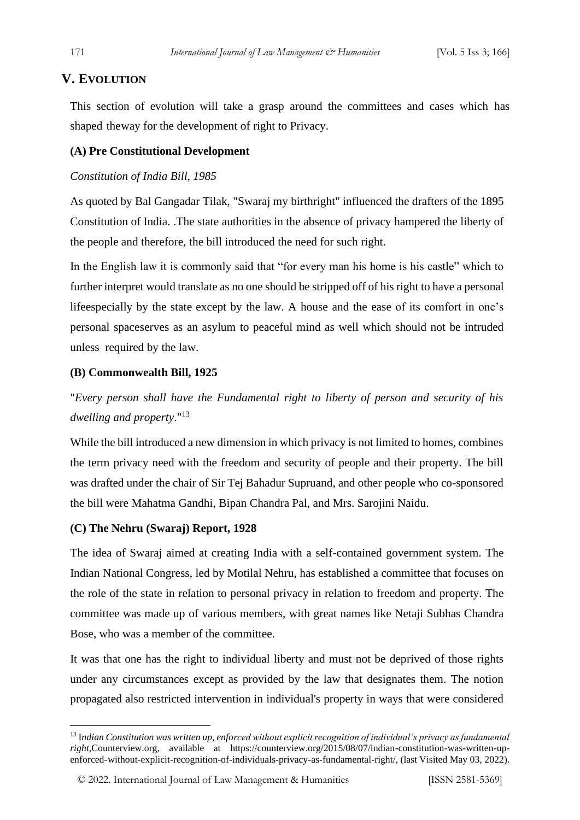# **V. EVOLUTION**

This section of evolution will take a grasp around the committees and cases which has shaped theway for the development of right to Privacy.

# **(A) Pre Constitutional Development**

#### *Constitution of India Bill, 1985*

As quoted by Bal Gangadar Tilak, "Swaraj my birthright" influenced the drafters of the 1895 Constitution of India. .The state authorities in the absence of privacy hampered the liberty of the people and therefore, the bill introduced the need for such right.

In the English law it is commonly said that "for every man his home is his castle" which to further interpret would translate as no one should be stripped off of his right to have a personal lifeespecially by the state except by the law. A house and the ease of its comfort in one's personal spaceserves as an asylum to peaceful mind as well which should not be intruded unless required by the law.

#### **(B) Commonwealth Bill, 1925**

"*Every person shall have the Fundamental right to liberty of person and security of his dwelling and property*."<sup>13</sup>

While the bill introduced a new dimension in which privacy is not limited to homes, combines the term privacy need with the freedom and security of people and their property. The bill was drafted under the chair of Sir Tej Bahadur Supruand, and other people who co-sponsored the bill were Mahatma Gandhi, Bipan Chandra Pal, and Mrs. Sarojini Naidu.

#### **(C) The Nehru (Swaraj) Report, 1928**

The idea of Swaraj aimed at creating India with a self-contained government system. The Indian National Congress, led by Motilal Nehru, has established a committee that focuses on the role of the state in relation to personal privacy in relation to freedom and property. The committee was made up of various members, with great names like Netaji Subhas Chandra Bose, who was a member of the committee.

It was that one has the right to individual liberty and must not be deprived of those rights under any circumstances except as provided by the law that designates them. The notion propagated also restricted intervention in individual's property in ways that were considered

<sup>13</sup> I*ndian Constitution was written up, enforced without explicit recognition of individual's privacy as fundamental right,*Counterview.org, available at https://counterview.org/2015/08/07/indian-constitution-was-written-upenforced-without-explicit-recognition-of-individuals-privacy-as-fundamental-right/, (last Visited May 03, 2022).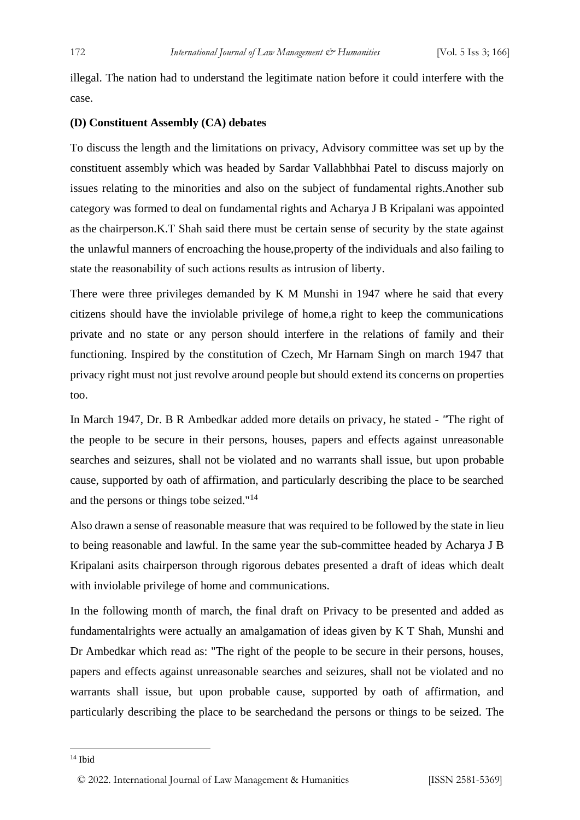illegal. The nation had to understand the legitimate nation before it could interfere with the case.

#### **(D) Constituent Assembly (CA) debates**

To discuss the length and the limitations on privacy, Advisory committee was set up by the constituent assembly which was headed by Sardar Vallabhbhai Patel to discuss majorly on issues relating to the minorities and also on the subject of fundamental rights.Another sub category was formed to deal on fundamental rights and Acharya J B Kripalani was appointed as the chairperson.K.T Shah said there must be certain sense of security by the state against the unlawful manners of encroaching the house,property of the individuals and also failing to state the reasonability of such actions results as intrusion of liberty.

There were three privileges demanded by K M Munshi in 1947 where he said that every citizens should have the inviolable privilege of home,a right to keep the communications private and no state or any person should interfere in the relations of family and their functioning. Inspired by the constitution of Czech, Mr Harnam Singh on march 1947 that privacy right must not just revolve around people but should extend its concerns on properties too.

In March 1947, Dr. B R Ambedkar added more details on privacy, he stated - *"*The right of the people to be secure in their persons, houses, papers and effects against unreasonable searches and seizures, shall not be violated and no warrants shall issue, but upon probable cause, supported by oath of affirmation, and particularly describing the place to be searched and the persons or things tobe seized."<sup>14</sup>

Also drawn a sense of reasonable measure that was required to be followed by the state in lieu to being reasonable and lawful. In the same year the sub-committee headed by Acharya J B Kripalani asits chairperson through rigorous debates presented a draft of ideas which dealt with inviolable privilege of home and communications.

In the following month of march, the final draft on Privacy to be presented and added as fundamentalrights were actually an amalgamation of ideas given by K T Shah, Munshi and Dr Ambedkar which read as: "The right of the people to be secure in their persons, houses, papers and effects against unreasonable searches and seizures, shall not be violated and no warrants shall issue, but upon probable cause, supported by oath of affirmation, and particularly describing the place to be searchedand the persons or things to be seized. The

<sup>14</sup> Ibid

© 2022. International Journal of [Law Management & Humanities](https://www.ijlmh.com/) [ISSN 2581-5369]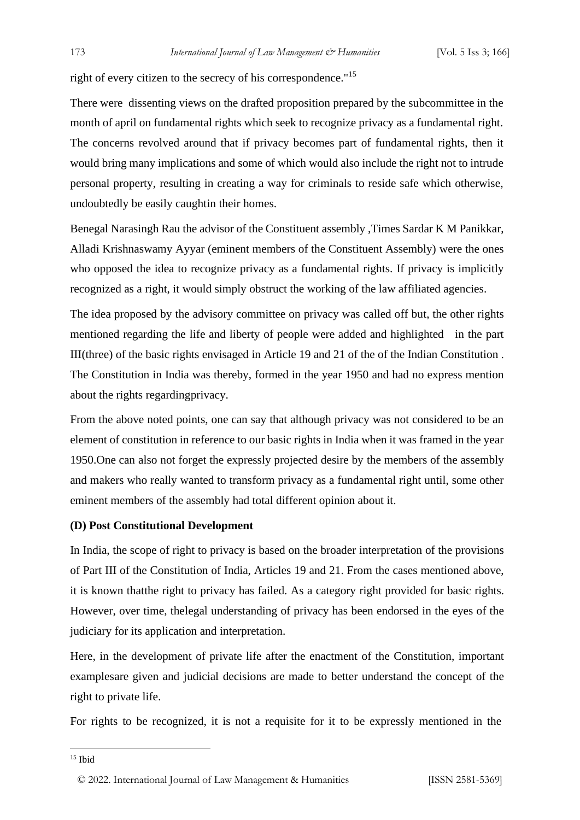right of every citizen to the secrecy of his correspondence."<sup>15</sup>

There were dissenting views on the drafted proposition prepared by the subcommittee in the month of april on fundamental rights which seek to recognize privacy as a fundamental right. The concerns revolved around that if privacy becomes part of fundamental rights, then it would bring many implications and some of which would also include the right not to intrude personal property, resulting in creating a way for criminals to reside safe which otherwise, undoubtedly be easily caughtin their homes.

Benegal Narasingh Rau the advisor of the Constituent assembly ,Times Sardar K M Panikkar, Alladi Krishnaswamy Ayyar (eminent members of the Constituent Assembly) were the ones who opposed the idea to recognize privacy as a fundamental rights. If privacy is implicitly recognized as a right, it would simply obstruct the working of the law affiliated agencies.

The idea proposed by the advisory committee on privacy was called off but, the other rights mentioned regarding the life and liberty of people were added and highlighted in the part III(three) of the basic rights envisaged in Article 19 and 21 of the of the Indian Constitution . The Constitution in India was thereby, formed in the year 1950 and had no express mention about the rights regardingprivacy.

From the above noted points, one can say that although privacy was not considered to be an element of constitution in reference to our basic rights in India when it was framed in the year 1950.One can also not forget the expressly projected desire by the members of the assembly and makers who really wanted to transform privacy as a fundamental right until, some other eminent members of the assembly had total different opinion about it.

#### **(D) Post Constitutional Development**

In India, the scope of right to privacy is based on the broader interpretation of the provisions of Part III of the Constitution of India, Articles 19 and 21. From the cases mentioned above, it is known thatthe right to privacy has failed. As a category right provided for basic rights. However, over time, thelegal understanding of privacy has been endorsed in the eyes of the judiciary for its application and interpretation.

Here, in the development of private life after the enactment of the Constitution, important examplesare given and judicial decisions are made to better understand the concept of the right to private life.

For rights to be recognized, it is not a requisite for it to be expressly mentioned in the

<sup>15</sup> Ibid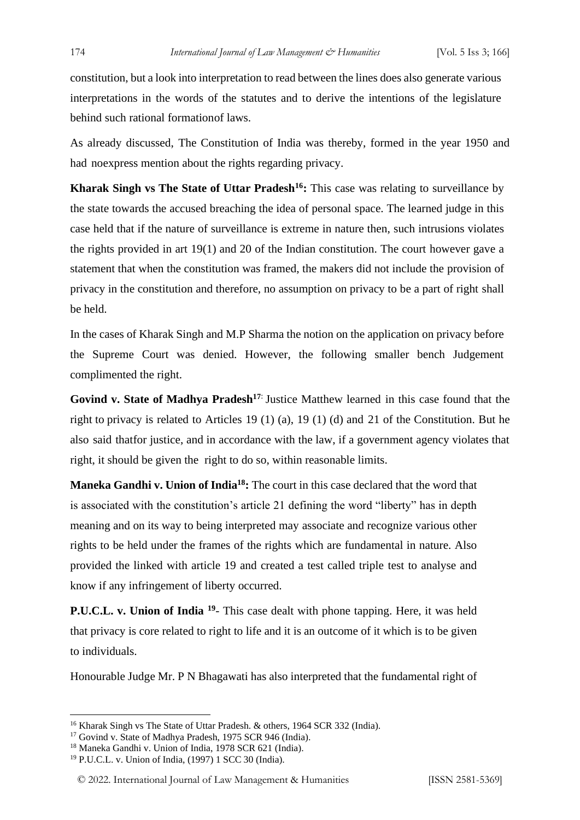constitution, but a look into interpretation to read between the lines does also generate various interpretations in the words of the statutes and to derive the intentions of the legislature behind such rational formationof laws.

As already discussed, The Constitution of India was thereby, formed in the year 1950 and had noexpress mention about the rights regarding privacy.

**Kharak Singh vs The State of Uttar Pradesh<sup>16</sup>:** This case was relating to surveillance by the state towards the accused breaching the idea of personal space. The learned judge in this case held that if the nature of surveillance is extreme in nature then, such intrusions violates the rights provided in art 19(1) and 20 of the Indian constitution. The court however gave a statement that when the constitution was framed, the makers did not include the provision of privacy in the constitution and therefore, no assumption on privacy to be a part of right shall be held.

In the cases of Kharak Singh and M.P Sharma the notion on the application on privacy before the Supreme Court was denied. However, the following smaller bench Judgement complimented the right.

**Govind v. State of Madhya Pradesh<sup>17</sup>**: Justice Matthew learned in this case found that the right to privacy is related to Articles 19 (1) (a), 19 (1) (d) and 21 of the Constitution. But he also said thatfor justice, and in accordance with the law, if a government agency violates that right, it should be given the right to do so, within reasonable limits.

**Maneka Gandhi v. Union of India<sup>18</sup>:** The court in this case declared that the word that is associated with the constitution's article 21 defining the word "liberty" has in depth meaning and on its way to being interpreted may associate and recognize various other rights to be held under the frames of the rights which are fundamental in nature. Also provided the linked with article 19 and created a test called triple test to analyse and know if any infringement of liberty occurred.

**P.U.C.L. v. Union of India** <sup>19</sup> This case dealt with phone tapping. Here, it was held that privacy is core related to right to life and it is an outcome of it which is to be given to individuals.

Honourable Judge Mr. P N Bhagawati has also interpreted that the fundamental right of

<sup>&</sup>lt;sup>16</sup> Kharak Singh vs The State of Uttar Pradesh. & others, 1964 SCR 332 (India).

<sup>&</sup>lt;sup>17</sup> Govind v. State of Madhya Pradesh, 1975 SCR 946 (India).

<sup>18</sup> Maneka Gandhi v. Union of India, 1978 SCR 621 (India).

<sup>19</sup> P.U.C.L. v. Union of India, (1997) 1 SCC 30 (India).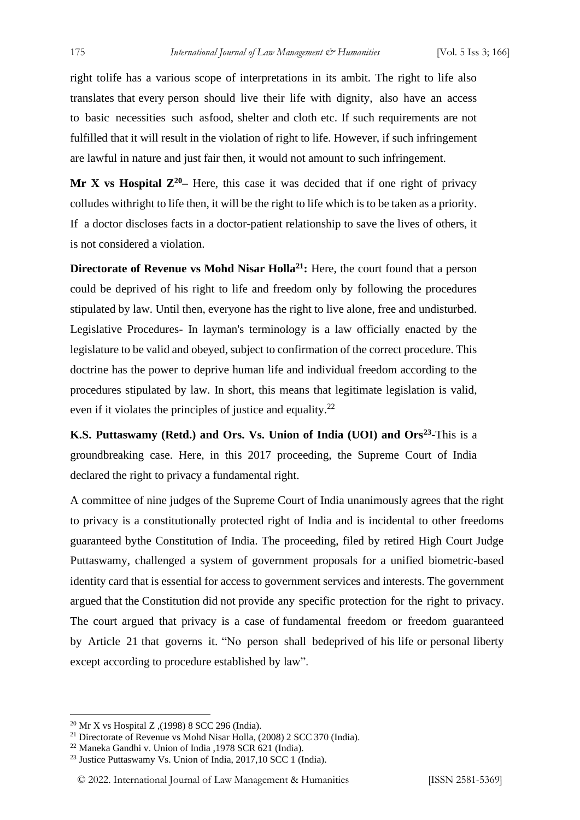right tolife has a various scope of interpretations in its ambit. The right to life also translates that every person should live their life with dignity, also have an access to basic necessities such asfood, shelter and cloth etc. If such requirements are not fulfilled that it will result in the violation of right to life. However, if such infringement are lawful in nature and just fair then, it would not amount to such infringement.

**Mr X vs Hospital**  $\mathbb{Z}^{20}$ **– Here, this case it was decided that if one right of privacy** colludes withright to life then, it will be the right to life which is to be taken as a priority. If a doctor discloses facts in a doctor-patient relationship to save the lives of others, it is not considered a violation.

**Directorate of Revenue vs Mohd Nisar Holla<sup>21</sup>:** Here, the court found that a person could be deprived of his right to life and freedom only by following the procedures stipulated by law. Until then, everyone has the right to live alone, free and undisturbed. Legislative Procedures- In layman's terminology is a law officially enacted by the legislature to be valid and obeyed, subject to confirmation of the correct procedure. This doctrine has the power to deprive human life and individual freedom according to the procedures stipulated by law. In short, this means that legitimate legislation is valid, even if it violates the principles of justice and equality.<sup>22</sup>

**K.S. Puttaswamy (Retd.) and Ors. Vs. Union of India (UOI) and Ors<sup>23</sup>-This is a** groundbreaking case. Here, in this 2017 proceeding, the Supreme Court of India declared the right to privacy a fundamental right.

A committee of nine judges of the Supreme Court of India unanimously agrees that the right to privacy is a constitutionally protected right of India and is incidental to other freedoms guaranteed bythe Constitution of India. The proceeding, filed by retired High Court Judge Puttaswamy, challenged a system of government proposals for a unified biometric-based identity card that is essential for access to government services and interests. The government argued that the Constitution did not provide any specific protection for the right to privacy. The court argued that privacy is a case of fundamental freedom or freedom guaranteed by Article 21 that governs it. "No person shall bedeprived of his life or personal liberty except according to procedure established by law".

<sup>20</sup> Mr X vs Hospital Z ,(1998) 8 SCC 296 (India).

<sup>&</sup>lt;sup>21</sup> Directorate of Revenue vs Mohd Nisar Holla,  $(2008)$  2 SCC 370 (India).

<sup>22</sup> Maneka Gandhi v. Union of India ,1978 SCR 621 (India).

<sup>23</sup> Justice Puttaswamy Vs. Union of India, 2017,10 SCC 1 (India).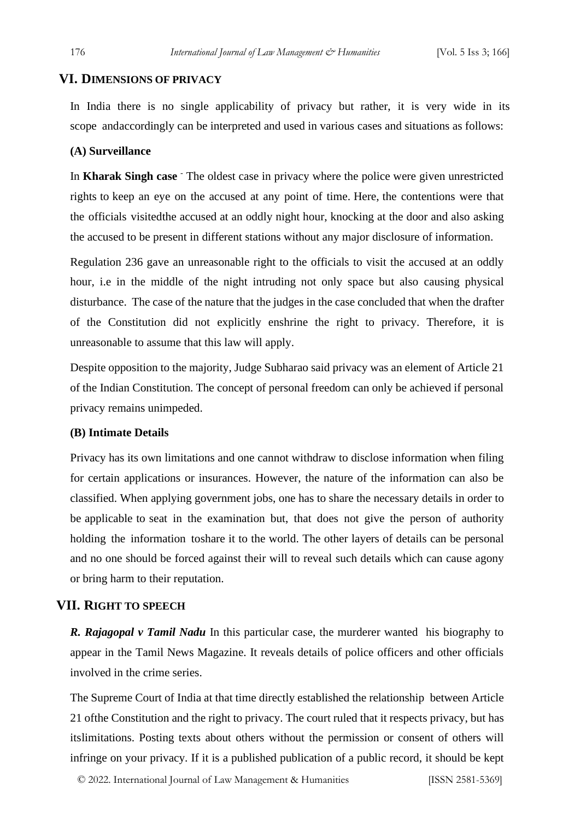#### **VI. DIMENSIONS OF PRIVACY**

In India there is no single applicability of privacy but rather, it is very wide in its scope andaccordingly can be interpreted and used in various cases and situations as follows:

#### **(A) Surveillance**

In **Kharak Singh case** - The oldest case in privacy where the police were given unrestricted rights to keep an eye on the accused at any point of time. Here, the contentions were that the officials visitedthe accused at an oddly night hour, knocking at the door and also asking the accused to be present in different stations without any major disclosure of information.

Regulation 236 gave an unreasonable right to the officials to visit the accused at an oddly hour, i.e in the middle of the night intruding not only space but also causing physical disturbance. The case of the nature that the judges in the case concluded that when the drafter of the Constitution did not explicitly enshrine the right to privacy. Therefore, it is unreasonable to assume that this law will apply.

Despite opposition to the majority, Judge Subharao said privacy was an element of Article 21 of the Indian Constitution. The concept of personal freedom can only be achieved if personal privacy remains unimpeded.

#### **(B) Intimate Details**

Privacy has its own limitations and one cannot withdraw to disclose information when filing for certain applications or insurances. However, the nature of the information can also be classified. When applying government jobs, one has to share the necessary details in order to be applicable to seat in the examination but, that does not give the person of authority holding the information toshare it to the world. The other layers of details can be personal and no one should be forced against their will to reveal such details which can cause agony or bring harm to their reputation.

#### **VII. RIGHT TO SPEECH**

*R. Rajagopal v Tamil Nadu* In this particular case, the murderer wanted his biography to appear in the Tamil News Magazine. It reveals details of police officers and other officials involved in the crime series.

The Supreme Court of India at that time directly established the relationship between Article 21 ofthe Constitution and the right to privacy. The court ruled that it respects privacy, but has itslimitations. Posting texts about others without the permission or consent of others will infringe on your privacy. If it is a published publication of a public record, it should be kept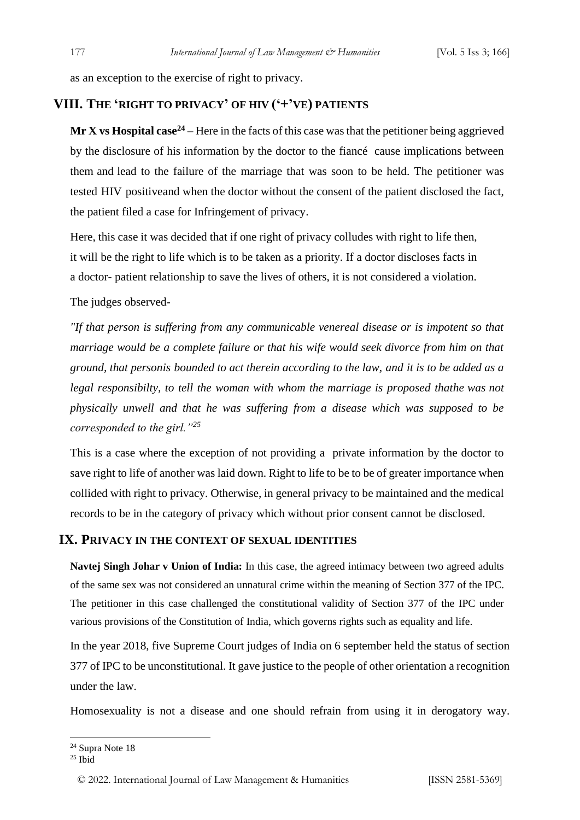as an exception to the exercise of right to privacy.

# **VIII. THE 'RIGHT TO PRIVACY' OF HIV ('+'VE) PATIENTS**

**Mr X vs Hospital case<sup>24</sup> –** Here in the facts of this case was that the petitioner being aggrieved by the disclosure of his information by the doctor to the fiancé cause implications between them and lead to the failure of the marriage that was soon to be held. The petitioner was tested HIV positiveand when the doctor without the consent of the patient disclosed the fact, the patient filed a case for Infringement of privacy.

Here, this case it was decided that if one right of privacy colludes with right to life then, it will be the right to life which is to be taken as a priority. If a doctor discloses facts in a doctor- patient relationship to save the lives of others, it is not considered a violation.

The judges observed-

*"If that person is suffering from any communicable venereal disease or is impotent so that marriage would be a complete failure or that his wife would seek divorce from him on that ground, that personis bounded to act therein according to the law, and it is to be added as a legal responsibilty, to tell the woman with whom the marriage is proposed thathe was not physically unwell and that he was suffering from a disease which was supposed to be corresponded to the girl."<sup>25</sup>*

This is a case where the exception of not providing a private information by the doctor to save right to life of another was laid down. Right to life to be to be of greater importance when collided with right to privacy. Otherwise, in general privacy to be maintained and the medical records to be in the category of privacy which without prior consent cannot be disclosed.

#### **IX. PRIVACY IN THE CONTEXT OF SEXUAL IDENTITIES**

**Navtej Singh Johar v Union of India:** In this case, the agreed intimacy between two agreed adults of the same sex was not considered an unnatural crime within the meaning of Section 377 of the IPC. The petitioner in this case challenged the constitutional validity of Section 377 of the IPC under various provisions of the Constitution of India, which governs rights such as equality and life.

In the year 2018, five Supreme Court judges of India on 6 september held the status of section 377 of IPC to be unconstitutional. It gave justice to the people of other orientation a recognition under the law.

Homosexuality is not a disease and one should refrain from using it in derogatory way.

<sup>24</sup> Supra Note 18

 $25$  Ibid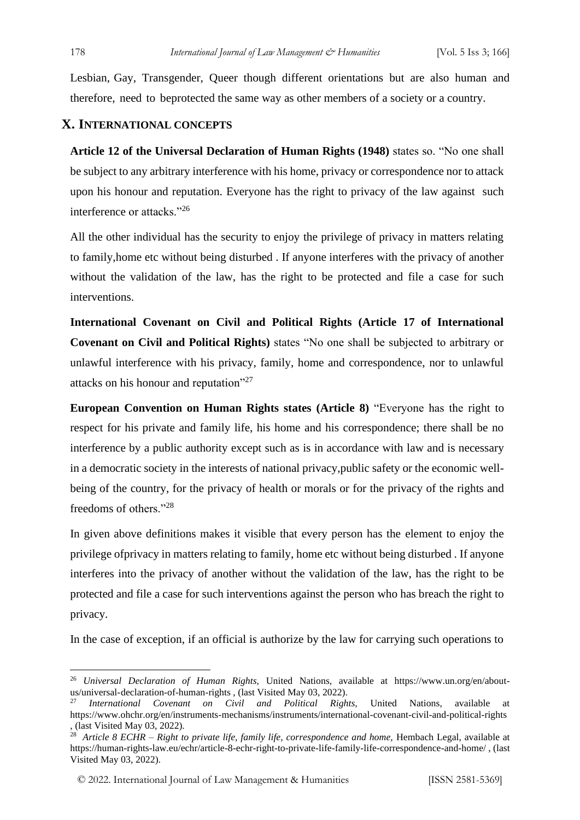Lesbian, Gay, Transgender, Queer though different orientations but are also human and therefore, need to beprotected the same way as other members of a society or a country.

# **X. INTERNATIONAL CONCEPTS**

**Article 12 of the Universal Declaration of Human Rights (1948)** states so. "No one shall be subject to any arbitrary interference with his home, privacy or correspondence nor to attack upon his honour and reputation. Everyone has the right to privacy of the law against such interference or attacks."<sup>26</sup>

All the other individual has the security to enjoy the privilege of privacy in matters relating to family,home etc without being disturbed . If anyone interferes with the privacy of another without the validation of the law, has the right to be protected and file a case for such interventions.

**International Covenant on Civil and Political Rights (Article 17 of International Covenant on Civil and Political Rights)** states "No one shall be subjected to arbitrary or unlawful interference with his privacy, family, home and correspondence, nor to unlawful attacks on his honour and reputation"<sup>27</sup>

**European Convention on Human Rights states (Article 8)** "Everyone has the right to respect for his private and family life, his home and his correspondence; there shall be no interference by a public authority except such as is in accordance with law and is necessary in a democratic society in the interests of national privacy,public safety or the economic wellbeing of the country, for the privacy of health or morals or for the privacy of the rights and freedoms of others."<sup>28</sup>

In given above definitions makes it visible that every person has the element to enjoy the privilege ofprivacy in matters relating to family, home etc without being disturbed . If anyone interferes into the privacy of another without the validation of the law, has the right to be protected and file a case for such interventions against the person who has breach the right to privacy.

In the case of exception, if an official is authorize by the law for carrying such operations to

<sup>26</sup> *Universal Declaration of Human Rights,* United Nations, available at https://www.un.org/en/aboutus/universal-declaration-of-human-rights , (last Visited May 03, 2022).<br><sup>27</sup> International Covenant on Civil and Political Righ

<sup>27</sup> *International Covenant on Civil and Political Rights,* United Nations, available at https://www.ohchr.org/en/instruments-mechanisms/instruments/international-covenant-civil-and-political-rights

<sup>, (</sup>last Visited May 03, 2022). 28 *Article 8 ECHR – Right to private life, family life, correspondence and home,* Hembach Legal, available at https://human-rights-law.eu/echr/article-8-echr-right-to-private-life-family-life-correspondence-and-home/ , (last Visited May 03, 2022).

<sup>© 2022.</sup> International Journal of [Law Management & Humanities](https://www.ijlmh.com/) [ISSN 2581-5369]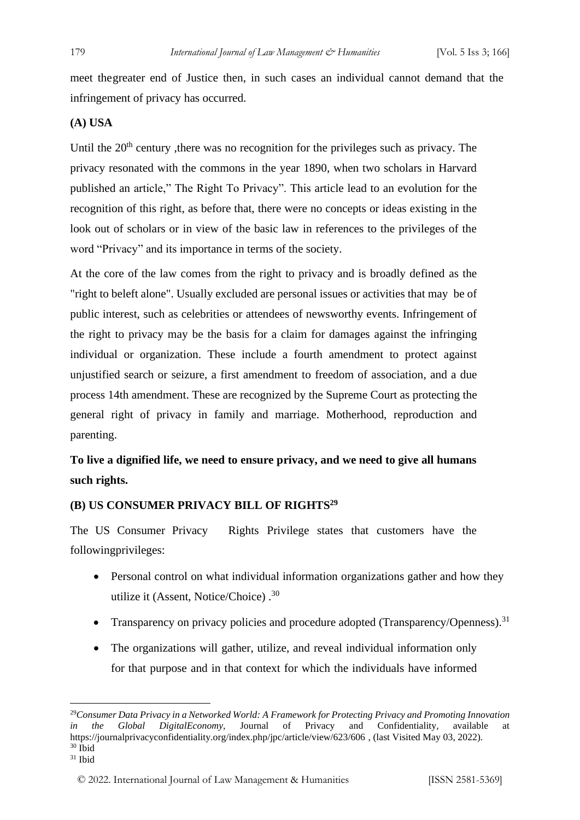meet thegreater end of Justice then, in such cases an individual cannot demand that the infringement of privacy has occurred.

# **(A) USA**

Until the  $20<sup>th</sup>$  century , there was no recognition for the privileges such as privacy. The privacy resonated with the commons in the year 1890, when two scholars in Harvard published an article," The Right To Privacy". This article lead to an evolution for the recognition of this right, as before that, there were no concepts or ideas existing in the look out of scholars or in view of the basic law in references to the privileges of the word "Privacy" and its importance in terms of the society.

At the core of the law comes from the right to privacy and is broadly defined as the "right to beleft alone". Usually excluded are personal issues or activities that may be of public interest, such as celebrities or attendees of newsworthy events. Infringement of the right to privacy may be the basis for a claim for damages against the infringing individual or organization. These include a fourth amendment to protect against unjustified search or seizure, a first amendment to freedom of association, and a due process 14th amendment. These are recognized by the Supreme Court as protecting the general right of privacy in family and marriage. Motherhood, reproduction and parenting.

# **To live a dignified life, we need to ensure privacy, and we need to give all humans such rights.**

#### **(B) US CONSUMER PRIVACY BILL OF RIGHTS<sup>29</sup>**

The US Consumer Privacy Rights Privilege states that customers have the followingprivileges:

- Personal control on what individual information organizations gather and how they utilize it (Assent, Notice/Choice) .<sup>30</sup>
- Transparency on privacy policies and procedure adopted (Transparency/Openness).<sup>31</sup>
- The organizations will gather, utilize, and reveal individual information only for that purpose and in that context for which the individuals have informed

<sup>29</sup>*Consumer Data Privacy in a Networked World: A Framework for Protecting Privacy and Promoting Innovation in the Global DigitalEconomy,* Journal of Privacy and Confidentiality, available at https://journalprivacyconfidentiality.org/index.php/jpc/article/view/623/606 , (last Visited May 03, 2022).  $30$  Ibid

<sup>31</sup> Ibid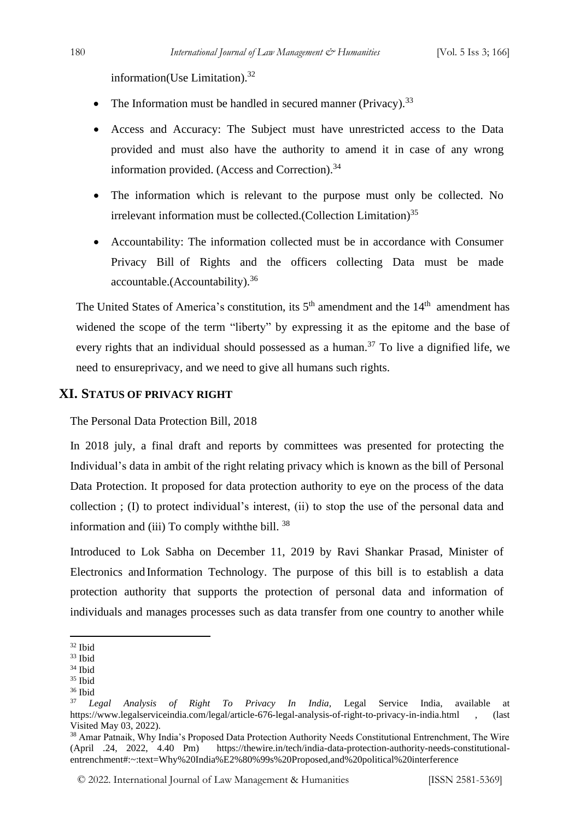information(Use Limitation).<sup>32</sup>

- The Information must be handled in secured manner (Privacy).<sup>33</sup>
- Access and Accuracy: The Subject must have unrestricted access to the Data provided and must also have the authority to amend it in case of any wrong information provided. (Access and Correction).<sup>34</sup>
- The information which is relevant to the purpose must only be collected. No irrelevant information must be collected. (Collection Limitation)<sup>35</sup>
- Accountability: The information collected must be in accordance with Consumer Privacy Bill of Rights and the officers collecting Data must be made accountable.(Accountability).<sup>36</sup>

The United States of America's constitution, its  $5<sup>th</sup>$  amendment and the  $14<sup>th</sup>$  amendment has widened the scope of the term "liberty" by expressing it as the epitome and the base of every rights that an individual should possessed as a human.<sup>37</sup> To live a dignified life, we need to ensureprivacy, and we need to give all humans such rights.

# **XI. STATUS OF PRIVACY RIGHT**

The Personal Data Protection Bill, 2018

In 2018 july, a final draft and reports by committees was presented for protecting the Individual's data in ambit of the right relating privacy which is known as the bill of Personal Data Protection. It proposed for data protection authority to eye on the process of the data collection ; (I) to protect individual's interest, (ii) to stop the use of the personal data and information and (iii) To comply withthe bill. <sup>38</sup>

Introduced to Lok Sabha on December 11, 2019 by Ravi Shankar Prasad, Minister of Electronics and Information Technology. The purpose of this bill is to establish a data protection authority that supports the protection of personal data and information of individuals and manages processes such as data transfer from one country to another while

<sup>32</sup> Ibid

<sup>33</sup> Ibid

<sup>34</sup> Ibid

<sup>35</sup> Ibid

 $rac{36}{37}$  Ibid

<sup>37</sup> *Legal Analysis of Right To Privacy In India,* Legal Service India, available at https://www.legalserviceindia.com/legal/article-676-legal-analysis-of-right-to-privacy-in-india.html , (last Visited May 03, 2022).

<sup>&</sup>lt;sup>38</sup> Amar Patnaik, Why India's Proposed Data Protection Authority Needs Constitutional Entrenchment, The Wire (April .24, 2022, 4.40 Pm) https://thewire.in/tech/india-data-protection-authority-needs-constitutionalentrenchment#:~:text=Why%20India%E2%80%99s%20Proposed,and%20political%20interference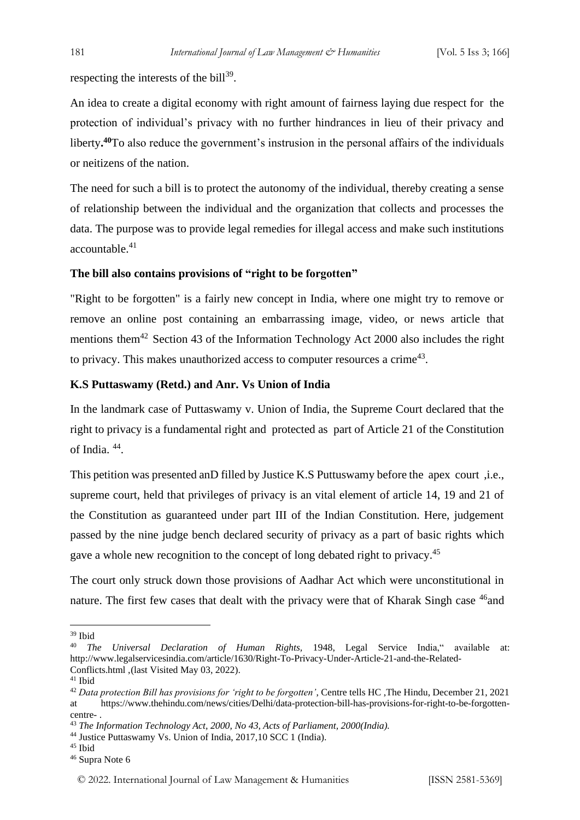respecting the interests of the bill $^{39}$ .

An idea to create a digital economy with right amount of fairness laying due respect for the protection of individual's privacy with no further hindrances in lieu of their privacy and liberty**. <sup>40</sup>**To also reduce the government's instrusion in the personal affairs of the individuals or neitizens of the nation.

The need for such a bill is to protect the autonomy of the individual, thereby creating a sense of relationship between the individual and the organization that collects and processes the data. The purpose was to provide legal remedies for illegal access and make such institutions accountable.<sup>41</sup>

# **The bill also contains provisions of "right to be forgotten"**

"Right to be forgotten" is a fairly new concept in India, where one might try to remove or remove an online post containing an embarrassing image, video, or news article that mentions them<sup>42</sup> Section 43 of the Information Technology Act 2000 also includes the right to privacy. This makes unauthorized access to computer resources a crime<sup>43</sup>.

# **K.S Puttaswamy (Retd.) and Anr. Vs Union of India**

In the landmark case of Puttaswamy v. Union of India, the Supreme Court declared that the right to privacy is a fundamental right and protected as part of Article 21 of the Constitution of India. <sup>44</sup> .

This petition was presented anD filled by Justice K.S Puttuswamy before the apex court , i.e., supreme court, held that privileges of privacy is an vital element of article 14, 19 and 21 of the Constitution as guaranteed under part III of the Indian Constitution. Here, judgement passed by the nine judge bench declared security of privacy as a part of basic rights which gave a whole new recognition to the concept of long debated right to privacy.<sup>45</sup>

The court only struck down those provisions of Aadhar Act which were unconstitutional in nature. The first few cases that dealt with the privacy were that of Kharak Singh case <sup>46</sup>and

<sup>39</sup> Ibid

<sup>40</sup> *The Universal Declaration of Human Rights,* 1948, Legal Service India," available at: http://www.legalservicesindia.com/article/1630/Right-To-Privacy-Under-Article-21-and-the-Related-Conflicts.html ,(last Visited May 03, 2022).

<sup>41</sup> Ibid

<sup>42</sup> *Data protection Bill has provisions for 'right to be forgotten'*, Centre tells HC ,The Hindu, December 21, 2021 at https://www.thehindu.com/news/cities/Delhi/data-protection-bill-has-provisions-for-right-to-be-forgottencentre- .

<sup>43</sup> *The Information Technology Act, 2000, No 43, Acts of Parliament, 2000(India).*

<sup>44</sup> Justice Puttaswamy Vs. Union of India, 2017,10 SCC 1 (India).

<sup>45</sup> Ibid

<sup>46</sup> Supra Note 6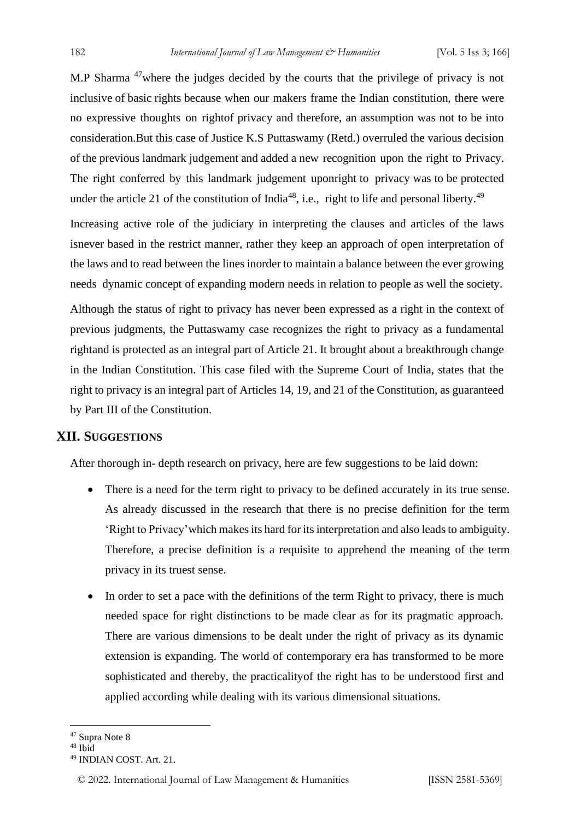M.P Sharma <sup>47</sup>where the judges decided by the courts that the privilege of privacy is not inclusive of basic rights because when our makers frame the Indian constitution, there were no expressive thoughts on rightof privacy and therefore, an assumption was not to be into consideration.But this case of Justice K.S Puttaswamy (Retd.) overruled the various decision of the previous landmark judgement and added a new recognition upon the right to Privacy. The right conferred by this landmark judgement uponright to privacy was to be protected under the article 21 of the constitution of India<sup>48</sup>, i.e., right to life and personal liberty.<sup>49</sup>

Increasing active role of the judiciary in interpreting the clauses and articles of the laws isnever based in the restrict manner, rather they keep an approach of open interpretation of the laws and to read between the lines inorder to maintain a balance between the ever growing needs dynamic concept of expanding modern needs in relation to people as well the society.

Although the status of right to privacy has never been expressed as a right in the context of previous judgments, the Puttaswamy case recognizes the right to privacy as a fundamental rightand is protected as an integral part of Article 21. It brought about a breakthrough change in the Indian Constitution. This case filed with the Supreme Court of India, states that the right to privacy is an integral part of Articles 14, 19, and 21 of the Constitution, as guaranteed by Part III of the Constitution.

#### **XII. SUGGESTIONS**

After thorough in- depth research on privacy, here are few suggestions to be laid down:

- There is a need for the term right to privacy to be defined accurately in its true sense. As already discussed in the research that there is no precise definition for the term 'Right to Privacy'which makes its hard for its interpretation and also leads to ambiguity. Therefore, a precise definition is a requisite to apprehend the meaning of the term privacy in its truest sense.
- In order to set a pace with the definitions of the term Right to privacy, there is much needed space for right distinctions to be made clear as for its pragmatic approach. There are various dimensions to be dealt under the right of privacy as its dynamic extension is expanding. The world of contemporary era has transformed to be more sophisticated and thereby, the practicalityof the right has to be understood first and applied according while dealing with its various dimensional situations.

<sup>47</sup> Supra Note 8

 $48$  Ibid

<sup>49</sup> INDIAN COST. Art. 21.

<sup>© 2022.</sup> International Journal of [Law Management & Humanities](https://www.ijlmh.com/) [ISSN 2581-5369]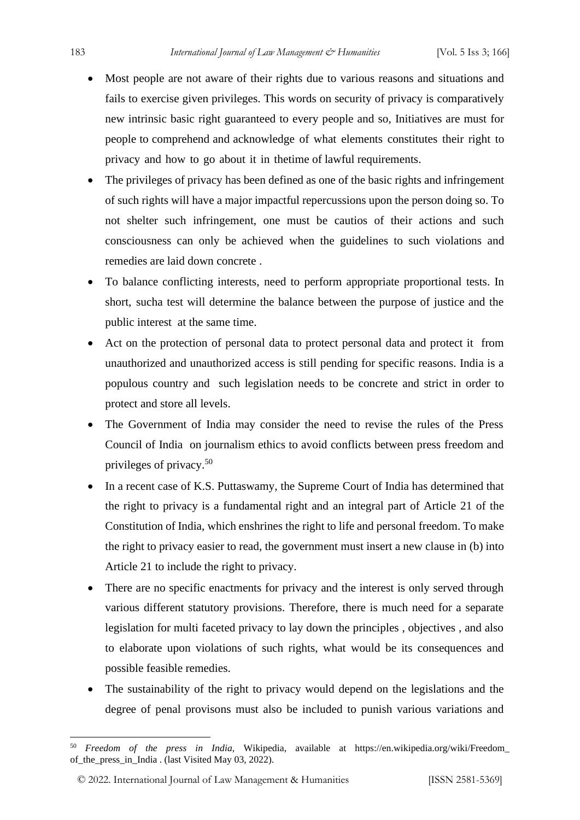- Most people are not aware of their rights due to various reasons and situations and fails to exercise given privileges. This words on security of privacy is comparatively new intrinsic basic right guaranteed to every people and so, Initiatives are must for people to comprehend and acknowledge of what elements constitutes their right to privacy and how to go about it in thetime of lawful requirements.
- The privileges of privacy has been defined as one of the basic rights and infringement of such rights will have a major impactful repercussions upon the person doing so. To not shelter such infringement, one must be cautios of their actions and such consciousness can only be achieved when the guidelines to such violations and remedies are laid down concrete .
- To balance conflicting interests, need to perform appropriate proportional tests. In short, sucha test will determine the balance between the purpose of justice and the public interest at the same time.
- Act on the protection of personal data to protect personal data and protect it from unauthorized and unauthorized access is still pending for specific reasons. India is a populous country and such legislation needs to be concrete and strict in order to protect and store all levels.
- The Government of India may consider the need to revise the rules of the Press Council of India on journalism ethics to avoid conflicts between press freedom and privileges of privacy.<sup>50</sup>
- In a recent case of K.S. Puttaswamy, the Supreme Court of India has determined that the right to privacy is a fundamental right and an integral part of Article 21 of the Constitution of India, which enshrines the right to life and personal freedom. To make the right to privacy easier to read, the government must insert a new clause in (b) into Article 21 to include the right to privacy.
- There are no specific enactments for privacy and the interest is only served through various different statutory provisions. Therefore, there is much need for a separate legislation for multi faceted privacy to lay down the principles , objectives , and also to elaborate upon violations of such rights, what would be its consequences and possible feasible remedies.
- The sustainability of the right to privacy would depend on the legislations and the degree of penal provisons must also be included to punish various variations and

<sup>50</sup> *Freedom of the press in India,* Wikipedia, available at https://en.wikipedia.org/wiki/Freedom\_ of the press in India . (last Visited May 03, 2022).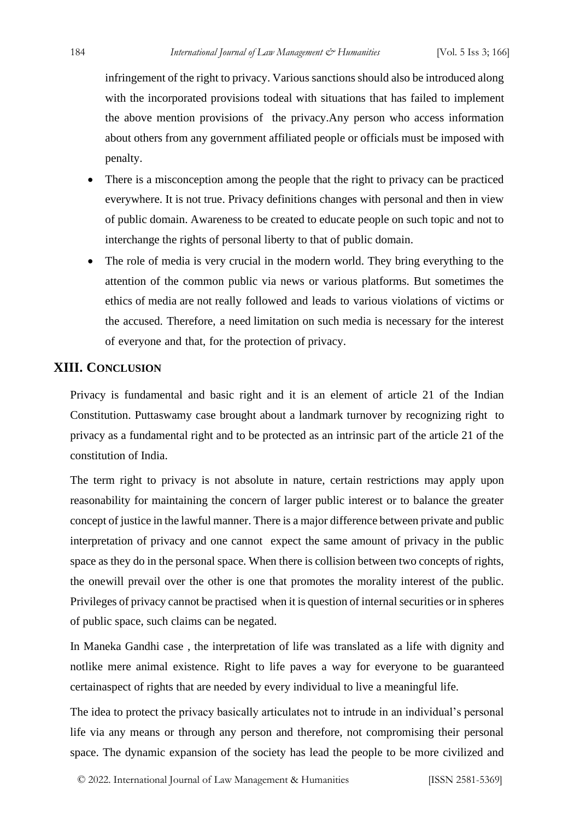infringement of the right to privacy. Various sanctions should also be introduced along with the incorporated provisions todeal with situations that has failed to implement the above mention provisions of the privacy.Any person who access information about others from any government affiliated people or officials must be imposed with penalty.

- There is a misconception among the people that the right to privacy can be practiced everywhere. It is not true. Privacy definitions changes with personal and then in view of public domain. Awareness to be created to educate people on such topic and not to interchange the rights of personal liberty to that of public domain.
- The role of media is very crucial in the modern world. They bring everything to the attention of the common public via news or various platforms. But sometimes the ethics of media are not really followed and leads to various violations of victims or the accused. Therefore, a need limitation on such media is necessary for the interest of everyone and that, for the protection of privacy.

# **XIII. CONCLUSION**

Privacy is fundamental and basic right and it is an element of article 21 of the Indian Constitution. Puttaswamy case brought about a landmark turnover by recognizing right to privacy as a fundamental right and to be protected as an intrinsic part of the article 21 of the constitution of India.

The term right to privacy is not absolute in nature, certain restrictions may apply upon reasonability for maintaining the concern of larger public interest or to balance the greater concept of justice in the lawful manner. There is a major difference between private and public interpretation of privacy and one cannot expect the same amount of privacy in the public space as they do in the personal space. When there is collision between two concepts of rights, the onewill prevail over the other is one that promotes the morality interest of the public. Privileges of privacy cannot be practised when it is question of internal securities or in spheres of public space, such claims can be negated.

In Maneka Gandhi case , the interpretation of life was translated as a life with dignity and notlike mere animal existence. Right to life paves a way for everyone to be guaranteed certainaspect of rights that are needed by every individual to live a meaningful life.

The idea to protect the privacy basically articulates not to intrude in an individual's personal life via any means or through any person and therefore, not compromising their personal space. The dynamic expansion of the society has lead the people to be more civilized and